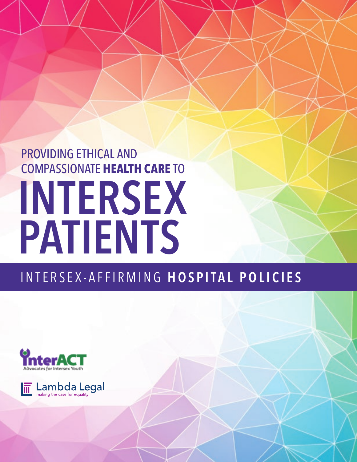# PROVIDING ETHICAL AND COMPASSIONATE **HEALTH CARE** TO INTERSEX PATIENTS

## INTERSEX-AFFIRMING HOSPITAL POLICIES



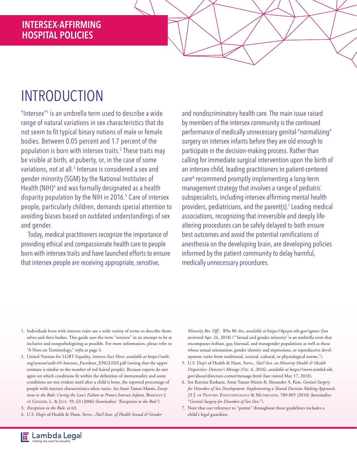## INTRODUCTION

"Intersex"<sup>1</sup> is an umbrella term used to describe a wide range of natural variations in sex characteristics that do not seem to fit typical binary notions of male or female bodies. Between 0.05 percent and 1.7 percent of the population is born with intersex traits.2 These traits may be visible at birth, at puberty, or, in the case of some variations, not at all.<sup>3</sup> Intersex is considered a sex and gender minority (SGM) by the National Institutes of Health (NIH)<sup>4</sup> and was formally designated as a health disparity population by the NIH in 2016.5 Care of intersex people, particularly children, demands special attention to avoiding biases based on outdated understandings of sex and gender.

Today, medical practitioners recognize the importance of providing ethical and compassionate health care to people born with intersex traits and have launched efforts to ensure that intersex people are receiving appropriate, sensitive,

and nondiscriminatory health care. The main issue raised by members of the intersex community is the continued performance of medically unnecessary genital-"normalizing" surgery on intersex infants before they are old enough to participate in the decision-making process. Rather than calling for immediate surgical intervention upon the birth of an intersex child, leading practitioners in patient-centered care<sup>6</sup> recommend promptly implementing a long-term management strategy that involves a range of pediatric subspecialists, including intersex-affirming mental health providers, pediatricians, and the parent(s).<sup>7</sup> Leading medical associations, recognizing that irreversible and deeply lifealtering procedures can be safely delayed to both ensure best outcomes and avoid the potential ramifications of anesthesia on the developing brain, are developing policies informed by the patient community to delay harmful, medically unnecessary procedures.

- 1. Individuals born with intersex traits use a wide variety of terms to describe themselves and their bodies. This guide uses the term "intersex" in an attempt to be as inclusive and nonpathologizing as possible. For more information, please refer to "A Note on Terminology," *infra* at page 3.
- 2. United Nations for LGBT Equality, *Intersex Fact Sheet, available at* https://unfe. org/system/unfe-65-Intersex\_Factsheet\_ENGLISH.pdf (noting that the upper estimate is similar to the number of red haired people). Because experts do not agree on which conditions fit within the definition of intersexuality and some conditions are not evident until after a child is born, the reported percentage of people with intersex characteristics often varies. *See* Anne Tamar-Mattis, *Exceptions to the Rule: Curing the Law's Failure to Protect Intersex Infants,* Berkeley J. of Gender, L. & Just. 59, 63 (2006) (hereinafter *"Exceptions to the Rule"*).
- 3. *Exceptions to the Rule,* at 63.
- 4. U.S. Dep't of Health & Hum. Servs., *Nat'l Insts. of Health Sexual & Gender*

*Minority Res. Off.: Who We Are, available at* https://dpcpsi.nih.gov/sgmro (last reviewed Apr. 24, 2018) ("'Sexual and gender minority' is an umbrella term that encompasses lesbian, gay, bisexual, and transgender populations as well as those whose sexual orientation, gender identity and expressions, or reproductive development varies from traditional, societal, cultural, or physiological norms.").

- 5. U.S. Dep't of Health & Hum. Servs., *Nat'l Inst. on Minority Health & Health Disparities: Director's Message (Oct. 6, 2016), available at* https://www.nimhd.nih. gov/about/directors-corner/message.html (last visited May 17, 2018).
- 6. See Katrina Karkazis, Anne Tamar-Mattis & Alexander A. Kon, *Genital Surgery for Disorders of Sex Development: Implementing a Shared Decision Making Approach,* 23 J. of Peditric Endocrinology & Metabolism, 789-805 (2010) (hereinafter "*Genital Surgery for Disorders of Sex Dev.*").
- 7. Note that our reference to "parent" throughout these guidelines includes a child's legal guardian.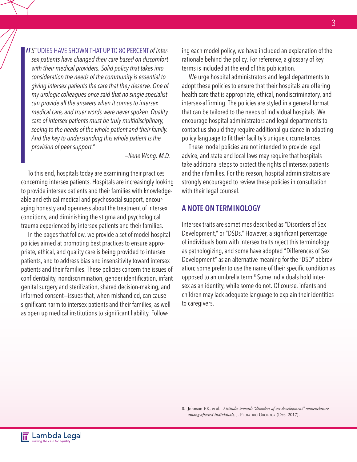**II** STUDIES HAVE SHOWN THAT UP TO 80 PERCENT of inter-<br>sex patients have changed their care based on discomfort *sex patients have changed their care based on discomfort with their medical providers. Solid policy that takes into consideration the needs of the community is essential to giving intersex patients the care that they deserve. One of my urologic colleagues once said that no single specialist can provide all the answers when it comes to intersex medical care, and truer words were never spoken. Quality care of intersex patients must be truly multidisciplinary, seeing to the needs of the whole patient and their family. And the key to understanding this whole patient is the provision of peer support."* 

*—Ilene Wong, M.D.*

To this end, hospitals today are examining their practices concerning intersex patients. Hospitals are increasingly looking to provide intersex patients and their families with knowledgeable and ethical medical and psychosocial support, encouraging honesty and openness about the treatment of intersex conditions, and diminishing the stigma and psychological trauma experienced by intersex patients and their families.

In the pages that follow, we provide a set of model hospital policies aimed at promoting best practices to ensure appropriate, ethical, and quality care is being provided to intersex patients, and to address bias and insensitivity toward intersex patients and their families. These policies concern the issues of confidentiality, nondiscrimination, gender identification, infant genital surgery and sterilization, shared decision-making, and informed consent—issues that, when mishandled, can cause significant harm to intersex patients and their families, as well as open up medical institutions to significant liability. Following each model policy, we have included an explanation of the rationale behind the policy. For reference, a glossary of key terms is included at the end of this publication.

We urge hospital administrators and legal departments to adopt these policies to ensure that their hospitals are offering health care that is appropriate, ethical, nondiscriminatory, and intersex-affirming. The policies are styled in a general format that can be tailored to the needs of individual hospitals. We encourage hospital administrators and legal departments to contact us should they require additional guidance in adapting policy language to fit their facility's unique circumstances.

These model policies are not intended to provide legal advice, and state and local laws may require that hospitals take additional steps to protect the rights of intersex patients and their families. For this reason, hospital administrators are strongly encouraged to review these policies in consultation with their legal counsel.

#### A NOTE ON TERMINOLOGY

Intersex traits are sometimes described as "Disorders of Sex Development," or "DSDs." However, a significant percentage of individuals born with intersex traits reject this terminology as pathologizing, and some have adopted "Differences of Sex Development" as an alternative meaning for the "DSD" abbreviation; some prefer to use the name of their specific condition as opposed to an umbrella term.<sup>8</sup> Some individuals hold intersex as an identity, while some do not. Of course, infants and children may lack adequate language to explain their identities to caregivers.

8. Johnson EK, et al., *Attitudes towards "disorders of sex development" nomenclature*  among affected individuals, J. PEDIATRIC UROLOGY (Dec. 2017).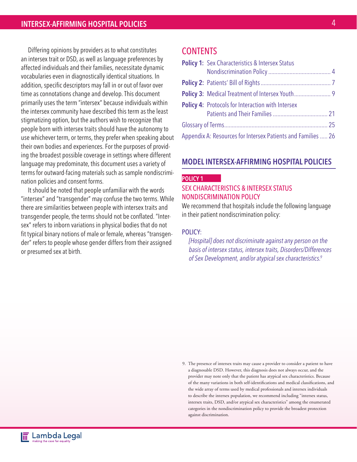Differing opinions by providers as to what constitutes an intersex trait or DSD, as well as language preferences by affected individuals and their families, necessitate dynamic vocabularies even in diagnostically identical situations. In addition, specific descriptors may fall in or out of favor over time as connotations change and develop. This document primarily uses the term "intersex" because individuals within the intersex community have described this term as the least stigmatizing option, but the authors wish to recognize that people born with intersex traits should have the autonomy to use whichever term, or terms, they prefer when speaking about their own bodies and experiences. For the purposes of providing the broadest possible coverage in settings where different language may predominate, this document uses a variety of terms for outward-facing materials such as sample nondiscrimination policies and consent forms.

It should be noted that people unfamiliar with the words "intersex" and "transgender" may confuse the two terms. While there are similarities between people with intersex traits and transgender people, the terms should not be conflated. "Intersex" refers to inborn variations in physical bodies that do not fit typical binary notions of male or female, whereas "transgender" refers to people whose gender differs from their assigned or presumed sex at birth.

### **CONTENTS**

|                                                              | <b>Policy 1:</b> Sex Characteristics & Intersex Status   |  |
|--------------------------------------------------------------|----------------------------------------------------------|--|
|                                                              |                                                          |  |
|                                                              |                                                          |  |
|                                                              |                                                          |  |
|                                                              | <b>Policy 4: Protocols for Interaction with Intersex</b> |  |
|                                                              |                                                          |  |
|                                                              |                                                          |  |
| Appendix A: Resources for Intersex Patients and Families  26 |                                                          |  |

#### MODEL INTERSEX-AFFIRMING HOSPITAL POLICIES

#### POLICY 1

#### SEX CHARACTERISTICS & INTERSEX STATUS NONDISCRIMINATION POLICY

We recommend that hospitals include the following language in their patient nondiscrimination policy:

#### POLICY:

*[Hospital] does not discriminate against any person on the basis of intersex status, intersex traits, Disorders/Differences of Sex Development, and/or atypical sex characteristics.9*

9. The presence of intersex traits may cause a provider to consider a patient to have a diagnosable DSD. However, this diagnosis does not always occur, and the provider may note only that the patient has atypical sex characteristics. Because of the many variations in both self-identifications and medical classifications, and the wide array of terms used by medical professionals and intersex individuals to describe the intersex population, we recommend including "intersex status, intersex traits, DSD, and/or atypical sex characteristics" among the enumerated categories in the nondiscrimination policy to provide the broadest protection against discrimination.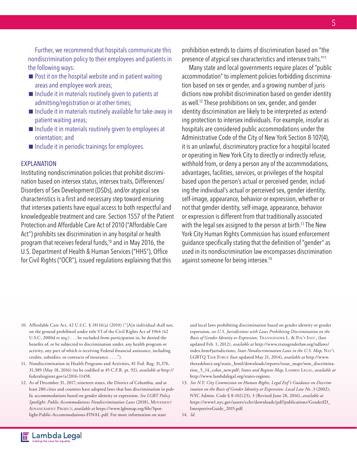Further, we recommend that hospitals communicate this nondiscrimination policy to their employees and patients in the following ways:

- $\blacksquare$  Post it on the hospital website and in patient waiting areas and employee work areas;
- $\blacksquare$  Include it in materials routinely given to patients at admitting/registration or at other times;
- $\blacksquare$  Include it in materials routinely available for take-away in patient waiting areas;
- $\blacksquare$  Include it in materials routinely given to employees at orientation; and
- $\blacksquare$  Include it in periodic trainings for employees.

#### EXPLANATION

Instituting nondiscrimination policies that prohibit discrimination based on intersex status, intersex traits, Differences/ Disorders of Sex Development (DSDs), and/or atypical sex characteristics is a first and necessary step toward ensuring that intersex patients have equal access to both respectful and knowledgeable treatment and care. Section 1557 of the Patient Protection and Affordable Care Act of 2010 ("Affordable Care Act") prohibits sex discrimination in any hospital or health program that receives federal funds,10 and in May 2016, the U.S. Department of Health & Human Services ("HHS"), Office for Civil Rights ("OCR"), issued regulations explaining that this

prohibition extends to claims of discrimination based on "the presence of atypical sex characteristics and intersex traits."11

Many state and local governments require places of "public accommodation" to implement policies forbidding discrimination based on sex or gender, and a growing number of jurisdictions now prohibit discrimination based on gender identity as well.12 These prohibitions on sex, gender, and gender identity discrimination are likely to be interpreted as extending protection to intersex individuals. For example, insofar as hospitals are considered public accommodations under the Administrative Code of the City of New York Section 8-107(4), it is an unlawful, discriminatory practice for a hospital located or operating in New York City to directly or indirectly refuse, withhold from, or deny a person any of the accommodations, advantages, facilities, services, or privileges of the hospital based upon the person's actual or perceived gender, including the individual's actual or perceived sex, gender identity, self-image, appearance, behavior or expression, whether or not that gender identity, self-image, appearance, behavior or expression is different from that traditionally associated with the legal sex assigned to the person at birth.<sup>13</sup> The New York City Human Rights Commission has issued enforcement guidance specifically stating that the definition of "gender" as used in its nondiscrimination law encompasses discrimination against someone for being intersex.14

- 10. Affordable Care Act, 42 U.S.C. § 18116(a) (2010) ("[A]n individual shall not, on the ground prohibited under title VI of the Civil Rights Act of 1964 (42 U.S.C. 2000d et seq.) . . . be excluded from participation in, be denied the benefits of, or be subjected to discrimination under, any health program or activity, any part of which is receiving Federal financial assistance, including credits, subsidies, or contracts of insurance . . . .").
- 11. Nondiscrimination in Health Programs and Activities, 81 Fed. Reg. 31,376, 31,389 (May 18, 2016) (to be codified at 45 C.F.R. pt. 92), *available at* http:// federalregister.gov/a/2016-11458.
- 12. As of December 31, 2017, nineteen states, the District of Columbia, and at least 280 cities and counties have adopted laws that ban discrimination in public accommodations based on gender identity or expression. *See LGBT Policy*  Spotlight: Public Accommodations Nondiscrimination Laws (2018), MOVEMENT Advancement Project, *available at* https://www.lgbtmap.org/file/Spotlight-Public-Accommodations-FINAL.pdf. For more information on state

and local laws prohibiting discrimination based on gender identity or gender expression, *see U.S. Jurisdictions with Laws Prohibiting Discrimination on the Basis of Gender Identity or Expression,* Transgender L. & Pol'y Inst., (last updated Feb. 1, 2012), *available at* http://www.transgenderlaw.org/ndlaws/ index.htm#jurisdictions; State Nondiscrimination Laws in the U.S. Map, NAT'L LGBTQ Task Force (last updated May 21, 2014), *available at* http://www. thetaskforce.org/static\_html/downloads/reports/issue\_maps/non\_discrimination\_5\_14\_color\_new.pdf; States and Regions Map, LAMBDA LEGAL, available at http://www.lambdalegal.org/states-regions.

13. *See N.Y. City Commission on Human Rights, Legal Enf 't Guidance on Discrimination on the Basis of Gender Identity or Expression: Local Law No. 3* (2002); NYC Admin. Code § 8-102(23), 3 (Revised June 28, 2016), *available at* https://www1.nyc.gov/assets/cchr/downloads/pdf/publications/GenderID\_ InterpretiveGuide\_2015.pdf.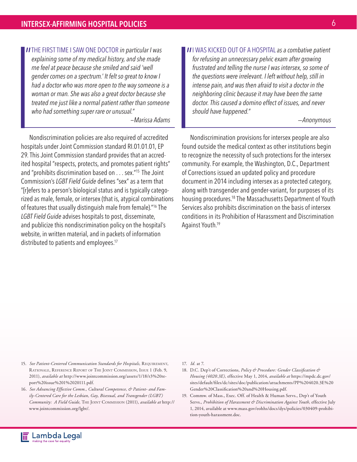**II** THE FIRST TIME I SAW ONE DOCTOR *in particular I was* explaining some of my medical history, and she made *explaining some of my medical history, and she made me feel at peace because she smiled and said 'well gender comes on a spectrum.' It felt so great to know I had a doctor who was more open to the way someone is a woman or man. She was also a great doctor because she treated me just like a normal patient rather than someone who had something super rare or unusual."*

*—Marissa Adams*

 Nondiscrimination policies are also required of accredited hospitals under Joint Commission standard RI.01.01.01, EP 29. This Joint Commission standard provides that an accredited hospital "respects, protects, and promotes patient rights" and "prohibits discrimination based on . . . sex."15 The Joint Commission's *LGBT Field Guide* defines "sex" as a term that "[r]efers to a person's biological status and is typically categorized as male, female, or intersex (that is, atypical combinations of features that usually distinguish male from female)."16 The *LGBT Field Guide* advises hospitals to post, disseminate, and publicize this nondiscrimination policy on the hospital's website, in written material, and in packets of information distributed to patients and employees.17

**II** WAS KICKED OUT OF A HOSPITAL *as a combative patient for refusing an unnecessary pelvic exam after growing for refusing an unnecessary pelvic exam after growing frustrated and telling the nurse I was intersex, so some of the questions were irrelevant. I left without help, still in intense pain, and was then afraid to visit a doctor in the neighboring clinic because it may have been the same doctor. This caused a domino effect of issues, and never should have happened."*

*—Anonymous*

 Nondiscrimination provisions for intersex people are also found outside the medical context as other institutions begin to recognize the necessity of such protections for the intersex community. For example, the Washington, D.C., Department of Corrections issued an updated policy and procedure document in 2014 including intersex as a protected category, along with transgender and gender-variant, for purposes of its housing procedures.18 The Massachusetts Department of Youth Services also prohibits discrimination on the basis of intersex conditions in its Prohibition of Harassment and Discrimination Against Youth.19

- 15. See Patient-Centered Communication Standards for Hospitals, REQUIREMENT, Rationale, Reference Report of The Joint Commission, Issue 1 (Feb. 9, 2011), *available at* http://www.jointcommission.org/assets/1/18/r3%20report%20issue%201%2020111.pdf.
- 16. *See Advancing Effective Comm., Cultural Competence, & Patient- and Family-Centered Care for the Lesbian, Gay, Bisexual, and Transgender (LGBT) Community: A Field Guide,* The Joint Commission (2011), *available at* http:// www.jointcommission.org/lgbt/.

17. *Id.* at 7.

- 18. D.C. Dep't of Corrections, *Policy & Procedure: Gender Classification & Housing (4020.3E),* effective May 1, 2014, *available at* https://mpdc.dc.gov/ sites/default/files/dc/sites/doc/publication/attachments/PP%204020.3E%20 Gender%20Classification%20and%20Housing.pdf.
- 19. Commw. of Mass., Exec. Off. of Health & Human Servs., Dep't of Youth Servs., *Prohibition of Harassment & Discrimination Against Youth,* effective July 1, 2014, available at www.mass.gov/eohhs/docs/dys/policies/030409-prohibition-youth-harassment.doc.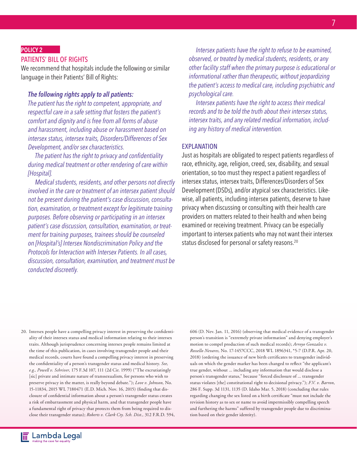#### POLICY 2

#### PATIENTS' BILL OF RIGHTS

We recommend that hospitals include the following or similar language in their Patients' Bill of Rights:

#### *The following rights apply to all patients:*

*The patient has the right to competent, appropriate, and respectful care in a safe setting that fosters the patient's comfort and dignity and is free from all forms of abuse and harassment, including abuse or harassment based on intersex status, intersex traits, Disorders/Differences of Sex Development, and/or sex characteristics.*

*The patient has the right to privacy and confidentiality during medical treatment or other rendering of care within [Hospital].*

*Medical students, residents, and other persons not directly involved in the care or treatment of an intersex patient should not be present during the patient's case discussion, consultation, examination, or treatment except for legitimate training purposes. Before observing or participating in an intersex patient's case discussion, consultation, examination, or treatment for training purposes, trainees should be counseled on [Hospital's] Intersex Nondiscrimination Policy and the Protocols for Interaction with Intersex Patients. In all cases, discussion, consultation, examination, and treatment must be conducted discreetly.*

*Intersex patients have the right to refuse to be examined, observed, or treated by medical students, residents, or any other facility staff when the primary purpose is educational or informational rather than therapeutic, without jeopardizing the patient's access to medical care, including psychiatric and psychological care.*

*Intersex patients have the right to access their medical records and to be told the truth about their intersex status, intersex traits, and any related medical information, including any history of medical intervention.* 

#### EXPLANATION

Just as hospitals are obligated to respect patients regardless of race, ethnicity, age, religion, creed, sex, disability, and sexual orientation, so too must they respect a patient regardless of intersex status, intersex traits, Differences/Disorders of Sex Development (DSDs), and/or atypical sex characteristics. Likewise, all patients, including intersex patients, deserve to have privacy when discussing or consulting with their health care providers on matters related to their health and when being examined or receiving treatment. Privacy can be especially important to intersex patients who may not want their intersex status disclosed for personal or safety reasons.20

20. Intersex people have a compelling privacy interest in preserving the confidentiality of their intersex status and medical information relating to their intersex traits. Although jurisprudence concerning intersex people remains limited at the time of this publication, in cases involving transgender people and their medical records, courts have found a compelling privacy interest in preserving the confidentiality of a person's transgender status and medical history. *See, e.g., Powell v. Schriver,* 175 F.3d 107, 111 (2d Cir. 1999) ("The excrutiatingly [sic] private and intimate nature of transsexualism, for persons who wish to preserve privacy in the matter, is really beyond debate."); *Love v. Johnson,* No. 15-11834, 2015 WL 7180471 (E.D. Mich. Nov. 16, 2015) (finding that disclosure of confidential information about a person's transgender status creates a risk of embarrassment and physical harm, and that transgender people have a fundamental right of privacy that protects them from being required to disclose their transgender status); *Roberts v. Clark Cty. Sch. Dist.,* 312 F.R.D. 594, 606 (D. Nev. Jan. 11, 2016) (observing that medical evidence of a transgender person's transition is "extremely private information" and denying employer's motion to compel production of such medical records); *Arroyo Gonzalez v. Rossello Nevares,* No. 17-1457CCC, 2018 WL 1896341, \*5-7 (D.P.R. Apr. 20, 2018) (ordering the issuance of new birth certificates to transgender individuals on which the gender marker has been changed to reflect "the applicant's true gender, without ... including any information that would disclose a person's transgender status," because "forced disclosure of ... transgender status violates [the] constitutional right to decisional privacy."); *F.V. v. Barron,*  286 F. Supp. 3d 1131, 1135 (D. Idaho Mar. 5, 2018) (concluding that rules regarding changing the sex listed on a birth certificate "must not include the revision history as to sex or name to avoid impermissibly compelling speech and furthering the harms" suffered by transgender people due to discrimination based on their gender identity).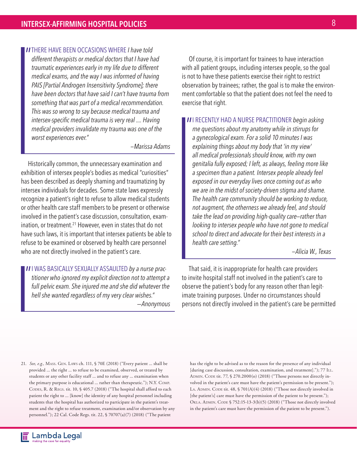**IITHERE HAVE BEEN OCCASIONS WHERE I have told different therapists or medical doctors that I have have** *different therapists or medical doctors that I have had traumatic experiences early in my life due to different medical exams, and the way I was informed of having PAIS [Partial Androgen Insensitivity Syndrome]; there have been doctors that have said I can't have trauma from something that was part of a medical recommendation. This was so wrong to say because medical trauma and intersex-specific medical trauma is very real .... Having medical providers invalidate my trauma was one of the worst experiences ever."*

*—Marissa Adams*

Historically common, the unnecessary examination and exhibition of intersex people's bodies as medical "curiosities" has been described as deeply shaming and traumatizing by intersex individuals for decades. Some state laws expressly recognize a patient's right to refuse to allow medical students or other health care staff members to be present or otherwise involved in the patient's case discussion, consultation, examination, or treatment.<sup>21</sup> However, even in states that do not have such laws, it is important that intersex patients be able to refuse to be examined or observed by health care personnel who are not directly involved in the patient's care.

**II** WAS BASICALLY SEXUALLY ASSAULTED by a nurse prac-<br>titioner who ignored my explicit direction not to attempt *titioner who ignored my explicit direction not to attempt a full pelvic exam. She injured me and she did whatever the hell she wanted regardless of my very clear wishes."* 

 *—Anonymous*

Of course, it is important for trainees to have interaction with all patient groups, including intersex people, so the goal is not to have these patients exercise their right to restrict observation by trainees; rather, the goal is to make the environment comfortable so that the patient does not feel the need to exercise that right.

**II** I RECENTLY HAD A NURSE PRACTITIONER *begin asking* me questions about my anatomy while in stirrups for *me questions about my anatomy while in stirrups for a gynecological exam. For a solid 10 minutes I was explaining things about my body that 'in my view' all medical professionals should know, with my own genitalia fully exposed; I left, as always, feeling more like a specimen than a patient. Intersex people already feel exposed in our everyday lives once coming out as who we are in the midst of society-driven stigma and shame. The health care community should be working to reduce, not augment, the otherness we already feel, and should take the lead on providing high-quality care—rather than looking to intersex people who have not gone to medical school to direct and advocate for their best interests in a health care setting."* 

 *—Alicia W., Texas* 

That said, it is inappropriate for health care providers to invite hospital staff not involved in the patient's care to observe the patient's body for any reason other than legitimate training purposes. Under no circumstances should persons not directly involved in the patient's care be permitted

21. *See, e.g.,* Mass. Gen. Laws ch. 111, § 70E (2018) ("Every patient ... shall be provided ... the right ... to refuse to be examined, observed, or treated by students or any other facility staff ... and to refuse any ... examination when the primary purpose is educational ... rather than therapeutic."); N.Y. Comp. CODES, R. & REGS. tit. 10, § 405.7 (2018) ("The hospital shall afford to each patient the right to ... [know] the identity of any hospital personnel including students that the hospital has authorized to participate in the patient's treatment and the right to refuse treatment, examination and/or observation by any personnel."); 22 Cal. Code Regs. tit. 22, § 70707(a)(7) (2018) ("The patient

has the right to be advised as to the reason for the presence of any individual [during case discussion, consultation, examination, and treatment]."); 77 ILL. ADMIN. CODE tit. 77, § 270.2000(o) (2018) ("Those persons not directly involved in the patient's care must have the patient's permission to be present."); LA. ADMIN. CODE tit.  $48$ ,  $\sqrt{5701(A)(4)}$  (2018) ("Those not directly involved in [the patient's] care must have the permission of the patient to be present."); OKLA. ADMIN. CODE § 752:15-13-3(b)(5) (2018) ("Those not directly involved in the patient's care must have the permission of the patient to be present.").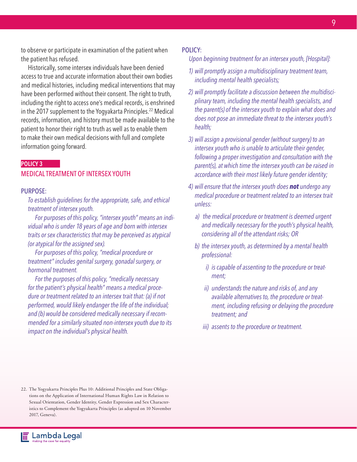to observe or participate in examination of the patient when the patient has refused.

Historically, some intersex individuals have been denied access to true and accurate information about their own bodies and medical histories, including medical interventions that may have been performed without their consent. The right to truth, including the right to access one's medical records, is enshrined in the 2017 supplement to the Yogyakarta Principles.<sup>22</sup> Medical records, information, and history must be made available to the patient to honor their right to truth as well as to enable them to make their own medical decisions with full and complete information going forward.

#### POLICY 3

#### MEDICAL TREATMENT OF INTERSEX YOUTH

#### PURPOSE:

*To establish guidelines for the appropriate, safe, and ethical treatment of intersex youth.*

*For purposes of this policy, "intersex youth" means an individual who is under 18 years of age and born with intersex traits or sex characteristics that may be perceived as atypical (or atypical for the assigned sex).*

*For purposes of this policy, "medical procedure or treatment" includes genital surgery, gonadal surgery, or hormonal treatment.*

*For the purposes of this policy, "medically necessary for the patient's physical health" means a medical procedure or treatment related to an intersex trait that: (a) if not performed, would likely endanger the life of the individual; and (b) would be considered medically necessary if recommended for a similarly situated non-intersex youth due to its impact on the individual's physical health.*

#### POLICY:

*Upon beginning treatment for an intersex youth, [Hospital]:*

- *1) will promptly assign a multidisciplinary treatment team, including mental health specialists;*
- *2) will promptly facilitate a discussion between the multidisciplinary team, including the mental health specialists, and the parent(s) of the intersex youth to explain what does and does not pose an immediate threat to the intersex youth's health;*
- *3) will assign a provisional gender (without surgery) to an intersex youth who is unable to articulate their gender, following a proper investigation and consultation with the parent(s), at which time the intersex youth can be raised in accordance with their most likely future gender identity;*
- *4) will ensure that the intersex youth does not undergo any medical procedure or treatment related to an intersex trait unless:*
	- *a) the medical procedure or treatment is deemed urgent and medically necessary for the youth's physical health, considering all of the attendant risks; OR*
	- *b) the intersex youth, as determined by a mental health professional:*
		- *i) is capable of assenting to the procedure or treatment;*
		- *ii) understands the nature and risks of, and any available alternatives to, the procedure or treatment, including refusing or delaying the procedure treatment; and*
		- *iii) assents to the procedure or treatment.*

<sup>22.</sup> The Yogyakarta Principles Plus 10: Additional Principles and State Obligations on the Application of International Human Rights Law in Relation to Sexual Orientation, Gender Identity, Gender Expression and Sex Characteristics to Complement the Yogyakarta Principles (as adopted on 10 November 2017, Geneva).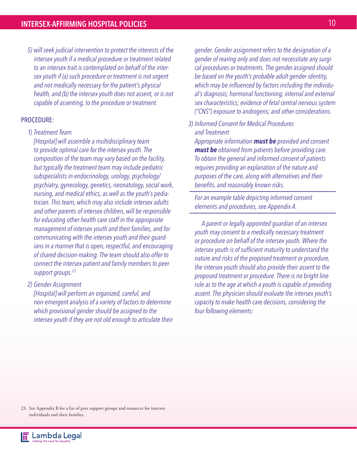*5) will seek judicial intervention to protect the interests of the intersex youth if a medical procedure or treatment related to an intersex trait is contemplated on behalf of the intersex youth if (a) such procedure or treatment is not urgent and not medically necessary for the patient's physical health, and (b) the intersex youth does not assent, or is not capable of assenting, to the procedure or treatment.*

#### PROCEDURE:

*1) Treatment Team*

*[Hospital] will assemble a multidisciplinary team to provide optimal care for the intersex youth. The composition of the team may vary based on the facility, but typically the treatment team may include pediatric subspecialists in endocrinology, urology, psychology/ psychiatry, gynecology, genetics, neonatology, social work, nursing, and medical ethics, as well as the youth's pediatrician. This team, which may also include intersex adults and other parents of intersex children, will be responsible for educating other health care staff in the appropriate management of intersex youth and their families, and for communicating with the intersex youth and their guardians in a manner that is open, respectful, and encouraging of shared decision-making. The team should also offer to connect the intersex patient and family members to peer support groups.23*

*2) Gender Assignment*

*[Hospital] will perform an organized, careful, and non-emergent analysis of a variety of factors to determine which provisional gender should be assigned to the intersex youth if they are not old enough to articulate their*  *gender. Gender assignment refers to the designation of a gender of rearing only and does not necessitate any surgical procedures or treatments. The gender assigned should be based on the youth's probable adult gender identity, which may be influenced by factors including the individual's diagnosis; hormonal functioning; internal and external sex characteristics; evidence of fetal central nervous system ("CNS") exposure to androgens; and other considerations.*

*3) Informed Consent for Medical Procedures and Treatment*

*Appropriate information must be provided and consent must be obtained from patients before providing care. To obtain the general and informed consent of patients requires providing an explanation of the nature and purposes of the care, along with alternatives and their benefits, and reasonably known risks.*

*For an example table depicting informed consent elements and procedures, see Appendix A.*

*A parent or legally appointed guardian of an intersex youth may consent to a medically necessary treatment or procedure on behalf of the intersex youth. Where the intersex youth is of sufficient maturity to understand the nature and risks of the proposed treatment or procedure, the intersex youth should also provide their assent to the proposed treatment or procedure. There is no bright line rule as to the age at which a youth is capable of providing assent. The physician should evaluate the intersex youth's capacity to make health care decisions, considering the four following elements:*

23. See Appendix B for a list of peer support groups and resources for intersex individuals and their families.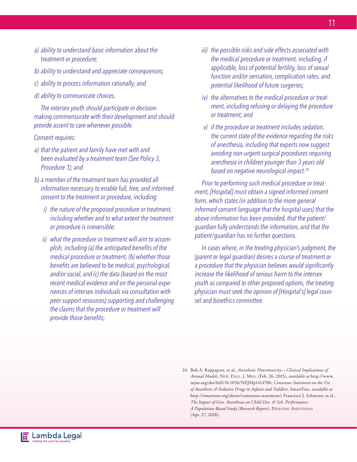- *a) ability to understand basic information about the treatment or procedure;*
- *b) ability to understand and appreciate consequences;*
- *c) ability to process information rationally; and*
- *d) ability to communicate choices.*

*The intersex youth should participate in decisionmaking commensurate with their development and should provide assent to care whenever possible.* 

#### *Consent requires:*

- *a) that the patient and family have met with and been evaluated by a treatment team (See Policy 3, Procedure 1); and*
- *b) a member of the treatment team has provided all information necessary to enable full, free, and informed consent to the treatment or procedure, including:*
	- *i) the nature of the proposed procedure or treatment, including whether and to what extent the treatment or procedure is irreversible;*
	- *ii) what the procedure or treatment will aim to accomplish, including (a) the anticipated benefits of the medical procedure or treatment, (b) whether those benefits are believed to be medical, psychological, and/or social, and (c) the data (based on the most recent medical evidence and on the personal experiences of intersex individuals via consultation with peer support resources) supporting and challenging the claims that the procedure or treatment will provide those benefits;*
- *iii) the possible risks and side effects associated with the medical procedure or treatment, including, if applicable, loss of potential fertility, loss of sexual function and/or sensation, complication rates, and potential likelihood of future surgeries;*
- *iv) the alternatives to the medical procedure or treatment, including refusing or delaying the procedure or treatment; and*
- *v) if the procedure or treatment includes sedation, the current state of the evidence regarding the risks of anesthesia, including that experts now suggest avoiding non-urgent surgical procedures requiring anesthesia in children younger than 3 years old based on negative neurological impact.24*

*Prior to performing such medical procedure or treatment, [Hospital] must obtain a signed informed consent form, which states (in addition to the more general informed consent language that the hospital uses) that the above information has been provided, that the patient/ guardian fully understands the information, and that the patient/guardian has no further questions.*

*In cases where, in the treating physician's judgment, the (parent or legal guardian) desires a course of treatment or a procedure that the physician believes would significantly increase the likelihood of serious harm to the intersex youth as compared to other proposed options, the treating physician must seek the opinion of [Hospital's] legal counsel and bioethics committee.*

<sup>24.</sup> Bob A. Rappaport, et al., *Anesthetic Neurotoxicity—Clinical Implications of Animal Models,* New. Engl. J. Med. (Feb. 26, 2015), *available at* http://www. nejm.org/doi/full/10.1056/NEJMp1414786; *Consensus Statement on the Use of Anesthetic & Sedative Drugs in Infants and Toddlers,* SmartTots, *available at* http://smarttots.org/about/consensus-statement/; Francisco J. Schneuer, et al., *The Impact of Gen. Anesthesia on Child Dev. & Sch. Performance: A Population-Based Study (Research Report)*, PEDIATRIC ANESTHESIA (Apr. 27, 2018).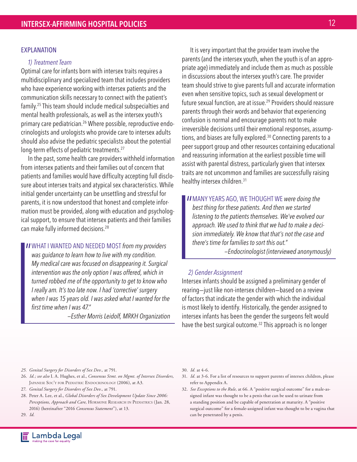#### EXPLANATION

#### *1) Treatment Team*

Optimal care for infants born with intersex traits requires a multidisciplinary and specialized team that includes providers who have experience working with intersex patients and the communication skills necessary to connect with the patient's family.25 This team should include medical subspecialties and mental health professionals, as well as the intersex youth's primary care pediatrician.<sup>26</sup> Where possible, reproductive endocrinologists and urologists who provide care to intersex adults should also advise the pediatric specialists about the potential long-term effects of pediatric treatments.<sup>27</sup>

In the past, some health care providers withheld information from intersex patients and their families out of concern that patients and families would have difficulty accepting full disclosure about intersex traits and atypical sex characteristics. While initial gender uncertainty can be unsettling and stressful for parents, it is now understood that honest and complete information must be provided, along with education and psychological support, to ensure that intersex patients and their families can make fully informed decisions.28

**II** WHAT I WANTED AND NEEDED MOST from my providers was guidance to learn how to live with my condition. *was guidance to learn how to live with my condition. My medical care was focused on disappearing it. Surgical intervention was the only option I was offered, which in turned robbed me of the opportunity to get to know who I really am. It's too late now. I had 'corrective' surgery when I was 15 years old. I was asked what I wanted for the first time when I was 47."*

*—Esther Morris Leidolf, MRKH Organization*

 It is very important that the provider team involve the parents (and the intersex youth, when the youth is of an appropriate age) immediately and include them as much as possible in discussions about the intersex youth's care. The provider team should strive to give parents full and accurate information even when sensitive topics, such as sexual development or future sexual function, are at issue.<sup>29</sup> Providers should reassure parents through their words and behavior that experiencing confusion is normal and encourage parents not to make irreversible decisions until their emotional responses, assumptions, and biases are fully explored.<sup>30</sup> Connecting parents to a peer support group and other resources containing educational and reassuring information at the earliest possible time will assist with parental distress, particularly given that intersex traits are not uncommon and families are successfully raising healthy intersex children.31

**II** MANY YEARS AGO, WE THOUGHT WE were doing the best thing for these patients. And then we started *best thing for these patients. And then we started listening to the patients themselves. We've evolved our approach. We used to think that we had to make a decision immediately. We know that that's not the case and there's time for families to sort this out." —Endocrinologist (interviewed anonymously)*

#### *2) Gender Assignment*

Intersex infants should be assigned a preliminary gender of rearing—just like non-intersex children—based on a review of factors that indicate the gender with which the individual is most likely to identify. Historically, the gender assigned to intersex infants has been the gender the surgeons felt would have the best surgical outcome.<sup>32</sup> This approach is no longer

- *25. Genital Surgery for Disorders of Sex Dev.,* at 791.
- 26. *Id.; see also* I. A. Hughes, et al., *Consensus Stmt. on Mgmt. of Intersex Disorders,*  JAPANESE SOC'Y FOR PEDIATRIC ENDOCRINOLOGY (2006), at A3.
- 27. *Genital Surgery for Disorders of Sex Dev.,* at 791.
- 28. Peter A. Lee, et al., *Global Disorders of Sex Development Update Since 2006:*  Perceptions, Approach and Care, HORMONE RESEARCH IN PEDIATRICS (Jan. 28, 2016) (hereinafter "2016 *Consensus Statement*"), at 13.

29. *Id.*

- 30. *Id.* at 4-6.
- 31. *Id.* at 3-6. For a list of resources to support parents of intersex children, please refer to Appendix A.
- 32. *See Exceptions to the Rule,* at 66. A "positive surgical outcome" for a male-assigned infant was thought to be a penis that can be used to urinate from a standing position and be capable of penetration at maturity. A "positive surgical outcome" for a female-assigned infant was thought to be a vagina that can be penetrated by a penis.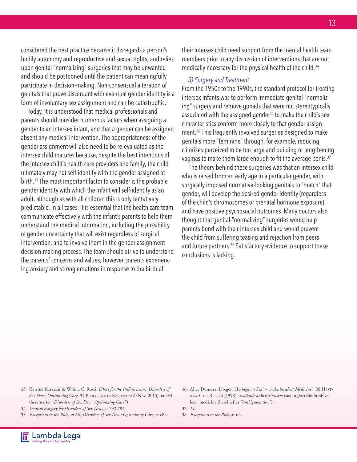considered the best practice because it disregards a person's bodily autonomy and reproductive and sexual rights, and relies upon genital-"normalizing" surgeries that may be unwanted and should be postponed until the patient can meaningfully participate in decision-making. Non-consensual alteration of genitals that prove discordant with eventual gender identity is a form of involuntary sex assignment and can be catastrophic.

Today, it is understood that medical professionals and parents should consider numerous factors when assigning a gender to an intersex infant, and that a gender can be assigned absent any medical intervention. The appropriateness of the gender assignment will also need to be re-evaluated as the intersex child matures because, despite the best intentions of the intersex child's health care providers and family, the child ultimately may not self-identify with the gender assigned at birth.33 The most important factor to consider is the probable gender identity with which the infant will self-identify as an adult, although as with all children this is only tentatively predictable. In all cases, it is essential that the health care team communicate effectively with the infant's parents to help them understand the medical information, including the possibility of gender uncertainty that will exist regardless of surgical intervention, and to involve them in the gender assignment decision-making process. The team should strive to understand the parents' concerns and values; however, parents experiencing anxiety and strong emotions in response to the birth of

their intersex child need support from the mental health team members prior to any discussion of interventions that are not medically necessary for the physical health of the child.<sup>34</sup>

#### *3) Surgery and Treatment*

From the 1950s to the 1990s, the standard protocol for treating intersex infants was to perform immediate genital-"normalizing" surgery and remove gonads that were not stereotypically associated with the assigned gender<sup>35</sup> to make the child's sex characteristics conform more closely to that gender assignment.36 This frequently involved surgeries designed to make genitals more "feminine" through, for example, reducing clitorises perceived to be too large and building or lengthening vaginas to make them large enough to fit the average penis.<sup>37</sup>

The theory behind these surgeries was that an intersex child who is raised from an early age in a particular gender, with surgically imposed normative-looking genitals to "match" that gender, will develop the desired gender identity (regardless of the child's chromosomes or prenatal hormone exposure) and have positive psychosocial outcomes. Many doctors also thought that genital-"normalizing" surgeries would help parents bond with their intersex child and would prevent the child from suffering teasing and rejection from peers and future partners.<sup>38</sup> Satisfactory evidence to support these conclusions is lacking.

- 33. Katrina Karkazis & Wilma C. Rossi, *Ethics for the Pediatrician: Disorders of Sex Dev.: Optimizing Care,* 31 PEDIATRICS IN REVIEW; e82 (Nov. 2010), at e83 (hereinafter *"Disorders of Sex Dev.: Optimizing Care"*).
- 34. *Genital Surgery for Disorders of Sex Dev.,* at 792-793.
- 35. *Exceptions to the Rule, at 60; Disorders of Sex Dev.: Optimizing Care,* at e82.
- 36. Alice Domurat Dreger, *"Ambiguous Sex" or Ambivalent Medicine?,* 28 Hastings Ctr. Rep. 24 (1998), *available at* http://www.isna.org/articles/ambivalent\_medicine (hereinafter *"Ambiguous Sex"*).

37. *Id.*

38. *Exceptions to the Rule,* at 64.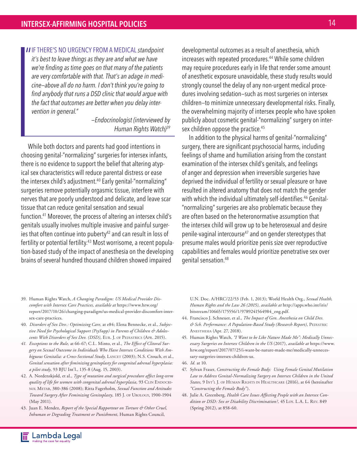**II** IF THERE'S NO URGENCY FROM A MEDICAL standpoint it's best to leave things as they are and what we have *it's best to leave things as they are and what we have we're finding as time goes on that many of the patients are very comfortable with that. That's an adage in medicine—above all do no harm. I don't think you're going to find anybody that runs a DSD clinic that would argue with the fact that outcomes are better when you delay intervention in general."* 

> *—Endocrinologist (interviewed by Human Rights Watch)39*

While both doctors and parents had good intentions in choosing genital-"normalizing" surgeries for intersex infants, there is no evidence to support the belief that altering atypical sex characteristics will reduce parental distress or ease the intersex child's adjustment.40 Early genital-"normalizing" surgeries remove potentially orgasmic tissue, interfere with nerves that are poorly understood and delicate, and leave scar tissue that can reduce genital sensation and sexual function.41 Moreover, the process of altering an intersex child's genitals usually involves multiple invasive and painful surgeries that often continue into puberty<sup>42</sup> and can result in loss of fertility or potential fertility.<sup>43</sup> Most worrisome, a recent population-based study of the impact of anesthesia on the developing brains of several hundred thousand children showed impaired

developmental outcomes as a result of anesthesia, which increases with repeated procedures.44 While some children may require procedures early in life that render some amount of anesthetic exposure unavoidable, these study results would strongly counsel the delay of any non-urgent medical procedures involving sedation—such as most surgeries on intersex children—to minimize unnecessary developmental risks. Finally, the overwhelming majority of intersex people who have spoken publicly about cosmetic genital-"normalizing" surgery on intersex children oppose the practice.<sup>45</sup>

In addition to the physical harms of genital-"normalizing" surgery, there are significant psychosocial harms, including feelings of shame and humiliation arising from the constant examination of the intersex child's genitals, and feelings of anger and depression when irreversible surgeries have deprived the individual of fertility or sexual pleasure or have resulted in altered anatomy that does not match the gender with which the individual ultimately self-identifies.<sup>46</sup> Genital-"normalizing" surgeries are also problematic because they are often based on the heteronormative assumption that the intersex child will grow up to be heterosexual and desire penile-vaginal intercourse47 and on gender stereotypes that presume males would prioritize penis size over reproductive capabilities and females would prioritize penetrative sex over genital sensation.48

- 39. Human Rights Watch, *A Changing Paradigm: US Medical Provider Discomfort with Intersex Care Practices, available at* https://www.hrw.org/ report/2017/10/26/changing-paradigm/us-medical-provider-discomfort-intersex-care-practices.
- 40. *Disorders of Sex Dev.: Optimizing Care,* at e84; Elena Bennecke, et al., *Subjec*tive Need for Psychological Support (PsySupp) in Parents of Children & Adoles*cents With Disorders of Sex Dev. (DSD)*, EUR. J. OF PEDIATRICS (APR. 2015).
- *41. Exceptions to the Rule,* at 66-67; C.L. Minto, et al., *The Effect of Clitoral Surgery on Sexual Outcome in Individuals Who Have Intersex Conditions With Am*biguous Genitalia: a Cross-Sectional Study, LANCET (2003); N.S. Crouch, et al., *Genital sensation after feminizing genitoplasty for congenital adrenal hyperplasia: a pilot study,* 93 BJU Int'l., 135-8 (Aug. 15, 2003).
- 42. A. Nordenskjold, et al., *Type of mutation and surgical procedure affect long-term quality of life for women with congenital adrenal hyperplasia*, 93 CLIN ENDOCRInol Metab, 380-386 (2008); Ritta Fagerholm, *Sexual Function and Attitudes Toward Surgery After Feminizing Genitoplasty,* 185 J. of Urology, 1900-1904 (May 2011).
- 43. Juan E. Mendez, *Report of the Special Rapporteur on Torture & Other Cruel, Inhuman or Degrading Treatment or Punishment,* Human Rights Council,

U.N. Doc. A/HRC/22/53 (Feb. 1, 2013); World Health Org., *Sexual Health, Human Rights and the Law 26 (2015), available at* http://apps.who.int/iris/ bitstream/10665/175556/1/9789241564984\_eng.pdf.

- 44. Francisco J. Schneuer, et al., *The Impact of Gen. Anesthesia on Child Dev.*   $\acute{e}$  Sch. Performance: A Population-Based Study (Research Report), PEDIATRIC Anesthesia (Apr. 27, 2018).
- 45. Human Rights Watch, *"I Want to be Like Nature Made Me": Medically Unnecessary Surgeries on Intersex Children in the US* (2017), *available at* https://www. hrw.org/report/2017/07/25/i-want-be-nature-made-me/medically-unnecessary-surgeries-intersex-children-us.

46. *Id.* at 10.

- 47. Sylvan Fraser, *Constructing the Female Body: Using Female Genital Mutilation Law to Address Genital-Normalizing Surgery on Intersex Children in the United States,* 9 Int'l J. of Human Rights in Healthcare (2016), at 64 (hereinafter *"Constructing the Female Body"*).
- 48. Julie A. Greenberg, *Health Care Issues Affecting People with an Intersex Condition or DSD: Sex or Disability Discrimination?,* 45 Loy. L.A. L. Rev. 849 (Spring 2012), at 858-60.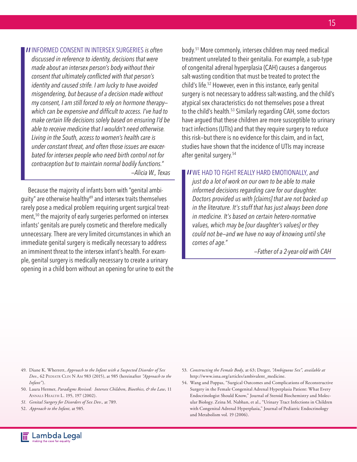**II** INFORMED CONSENT IN INTERSEX SURGERIES is often discussed in reference to identity, decisions that were *discussed in reference to identity, decisions that were made about an intersex person's body without their consent that ultimately conflicted with that person's identity and caused strife. I am lucky to have avoided misgendering, but because of a decision made without my consent, I am still forced to rely on hormone therapy which can be expensive and difficult to access. I've had to make certain life decisions solely based on ensuring I'd be able to receive medicine that I wouldn't need otherwise. Living in the South, access to women's health care is under constant threat, and often those issues are exacerbated for intersex people who need birth control not for contraception but to maintain normal bodily functions." —Alicia W., Texas* 

Because the majority of infants born with "genital ambiguity" are otherwise healthy<sup>49</sup> and intersex traits themselves rarely pose a medical problem requiring urgent surgical treatment,<sup>50</sup> the majority of early surgeries performed on intersex infants' genitals are purely cosmetic and therefore medically unnecessary. There are very limited circumstances in which an immediate genital surgery is medically necessary to address an imminent threat to the intersex infant's health. For example, genital surgery is medically necessary to create a urinary opening in a child born without an opening for urine to exit the

body.51 More commonly, intersex children may need medical treatment unrelated to their genitalia. For example, a sub-type of congenital adrenal hyperplasia (CAH) causes a dangerous salt-wasting condition that must be treated to protect the child's life.52 However, even in this instance, early genital surgery is not necessary to address salt-wasting, and the child's atypical sex characteristics do not themselves pose a threat to the child's health.53 Similarly regarding CAH, some doctors have argued that these children are more susceptible to urinary tract infections (UTIs) and that they require surgery to reduce this risk—but there is no evidence for this claim, and in fact, studies have shown that the incidence of UTIs may increase after genital surgery.54

**II** WE HAD TO FIGHT REALLY HARD EMOTIONALLY, and just do a lot of work on our own to be able to make *just do a lot of work on our own to be able to make informed decisions regarding care for our daughter. Doctors provided us with [claims] that are not backed up in the literature. It's stuff that has just always been done in medicine. It's based on certain hetero-normative values, which may be [our daughter's values] or they could not be—and we have no way of knowing until she comes of age."* 

*—Father of a 2-year-old with CAH*

- 49. Diane K. Wherrett, *Approach to the Infant with a Suspected Disorder of Sex Dev.,* 62 PEDIATR CLIN N AM 983 (2015), at 985 (hereinafter "Approach to the *Infant"*).
- 50. Laura Hermer, *Paradigms Revised: Intersex Children, Bioethics, & the Law,* 11 Annals Health L. 195, 197 (2002).
- *51. Genital Surgery for Disorders of Sex Dev.,* at 789.
- 52. *Approach to the Infant,* at 985.
- 53. *Constructing the Female Body,* at 63; Dreger, *"Ambiguous Sex", available at*  http://www.isna.org/articles/ambivalent\_medicine.
- 54. Wang and Poppas, "Surgical Outcomes and Complications of Reconstructive Surgery in the Female Congenital Adrenal Hyperplasia Patient: What Every Endocrinologist Should Know," Journal of Steroid Biochemistry and Molecular Biology. Zeina M. Nabhan, et al., "Urinary Tract Infections in Children with Congenital Adrenal Hyperplasia," Journal of Pediatric Endocrinology and Metabolism vol. 19 (2006).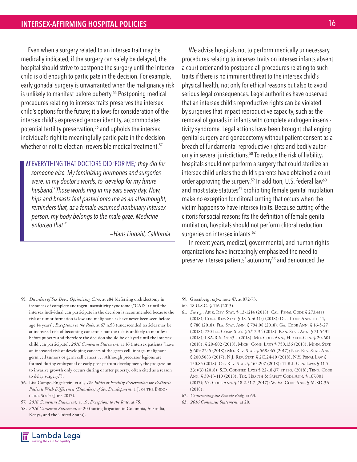Even when a surgery related to an intersex trait may be medically indicated, if the surgery can safely be delayed, the hospital should strive to postpone the surgery until the intersex child is old enough to participate in the decision. For example, early gonadal surgery is unwarranted when the malignancy risk is unlikely to manifest before puberty.<sup>55</sup> Postponing medical procedures relating to intersex traits preserves the intersex child's options for the future; it allows for consideration of the intersex child's expressed gender identity, accommodates potential fertility preservation,<sup>56</sup> and upholds the intersex individual's right to meaningfully participate in the decision whether or not to elect an irreversible medical treatment.<sup>57</sup>

**II** EVERYTHING THAT DOCTORS DID 'FOR ME,' they did for someone else. My feminizing hormones and surgeries *someone else. My feminizing hormones and surgeries were, in my doctor's words, to 'develop for my future husband.' Those words ring in my ears every day. Now, hips and breasts feel pasted onto me as an afterthought, reminders that, as a female-assumed nonbinary intersex person, my body belongs to the male gaze. Medicine enforced that."* 

*—Hans Lindahl, California*

We advise hospitals not to perform medically unnecessary procedures relating to intersex traits on intersex infants absent a court order and to postpone all procedures relating to such traits if there is no imminent threat to the intersex child's physical health, not only for ethical reasons but also to avoid serious legal consequences. Legal authorities have observed that an intersex child's reproductive rights can be violated by surgeries that impact reproductive capacity, such as the removal of gonads in infants with complete androgen insensitivity syndrome. Legal actions have been brought challenging genital surgery and gonadectomy without patient consent as a breach of fundamental reproductive rights and bodily autonomy in several jurisdictions.<sup>58</sup> To reduce the risk of liability, hospitals should not perform a surgery that could sterilize an intersex child unless the child's parents have obtained a court order approving the surgery.<sup>59</sup> In addition, U.S. federal law<sup>60</sup> and most state statutes<sup>61</sup> prohibiting female genital mutilation make no exception for clitoral cutting that occurs when the victim happens to have intersex traits. Because cutting of the clitoris for social reasons fits the definition of female genital mutilation, hospitals should not perform clitoral reduction surgeries on intersex infants.<sup>62</sup>

In recent years, medical, governmental, and human rights organizations have increasingly emphasized the need to preserve intersex patients' autonomy<sup>63</sup> and denounced the

- 55. *Disorders of Sex Dev.: Optimizing Care,* at e84 (deferring orchidectomy in instances of complete androgen insensitivity syndrome ("CAIS") until the intersex individual can participate in the decision is recommended because the risk of tumor formation is low and malignancies have never been seen before age 14 years); *Exceptions to the Rule,* at 67 n.58 (undescended testicles may be at increased risk of becoming cancerous but the risk is unlikely to manifest before puberty and therefore the decision should be delayed until the intersex child can participate); *2016 Consensus Statement,* at 16 (intersex patients "have an increased risk of developing cancers of the germ cell lineage, malignant germ cell tumors or germ cell cancer . . . Although precursor legions are formed during embryonal or early post-partum development, the progression to invasive growth only occurs during or after puberty, often cited as a reason to delay surgery.").
- 56. Lisa Campo-Engelstein, et al., *The Ethics of Fertility Preservation for Pediatric*  Patients With Differences (Disorders) of Sex Development, 1 J. OF THE ENDOcrine Soc'y (June 2017).
- 57. *2016 Consensus Statement,* at 19; *Exceptions to the Rule,* at 75.
- 58. *2016 Consensus Statement,* at 20 (noting litigation in Colombia, Australia, Kenya, and the United States).
- 59. Greenberg, *supra* note 47, at 872-73.
- 60. 18 U.S.C. § 116 (2013).
- 61. *See e.g.,* Ariz. Rev. Stat. § 13-1214 (2018); Cal. Penal Code § 273.4(b) (2018); Colo. Rev. Stat. § 18-6-401(b) (2018); Del. Code Ann. tit. 11, § 780 (2018); FLA. STAT. ANN. § 794.08 (2018); GA. CODE ANN. § 16-5-27 (2018); 720 Ill. Comp. Stat. § 5/12-34 (2018); Kan. Stat. Ann. § 21-5431 (2018); LSA-R.S. 14:43.4 (2018); MD. CODE ANN., HEALTH-GEN. § 20-601 (2018), § 20-602 (2018); Mich. Comp. Laws § 750.136 (2018); Minn. Stat. § 609.2245 (2018); Mo. Rev. Stat. § 568.065 (2017); Nev. Rev. Stat. Ann. § 200.5083 (2017); N.J. REV. STAT. § 2C:24-10 (2018); N.Y. PENAL LAW § 130.85 (2018); Or. Rev. Stat. § 163.207 (2018); 11 R.I. Gen. Laws § 11-5- 2(c)(3) (2018); S.D. Codified Laws § 22-18-37, et seq. (2018); Tenn. Code Ann. § 39-13-110 (2018); Tex. Health & Safety Code Ann. § 167.001 (2017); Va. Code Ann. § 18.2-51.7 (2017); W. Va. Code Ann. § 61-8D-3A (2018).
- 62. *Constructing the Female Body,* at 63.
- 63. *2016 Consensus Statement,* at 20.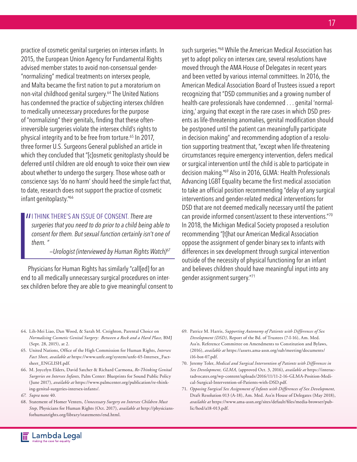practice of cosmetic genital surgeries on intersex infants. In 2015, the European Union Agency for Fundamental Rights advised member states to avoid non-consensual gender- "normalizing" medical treatments on intersex people, and Malta became the first nation to put a moratorium on non-vital childhood genital surgery.64 The United Nations has condemned the practice of subjecting intersex children to medically unnecessary procedures for the purpose of "normalizing" their genitals, finding that these oftenirreversible surgeries violate the intersex child's rights to physical integrity and to be free from torture.<sup>65</sup> In 2017, three former U.S. Surgeons General published an article in which they concluded that "[c]osmetic genitoplasty should be deferred until children are old enough to voice their own view about whether to undergo the surgery. Those whose oath or conscience says 'do no harm' should heed the simple fact that, to date, research does not support the practice of cosmetic infant genitoplasty."<sup>66</sup>

**II** I THINK THERE'S AN ISSUE OF CONSENT. There are surgeries that you need to do prior to a child being *surgeries that you need to do prior to a child being able to consent for them. But sexual function certainly isn't one of them. "*

*—Urologist (interviewed by Human Rights Watch)67*

Physicians for Human Rights has similarly "call[ed] for an end to all medically unnecessary surgical procedures on intersex children before they are able to give meaningful consent to such surgeries."68 While the American Medical Association has yet to adopt policy on intersex care, several resolutions have moved through the AMA House of Delegates in recent years and been vetted by various internal committees. In 2016, the American Medical Association Board of Trustees issued a report recognizing that "DSD communities and a growing number of health-care professionals have condemned . . . genital 'normalizing,' arguing that except in the rare cases in which DSD presents as life-threatening anomalies, genital modification should be postponed until the patient can meaningfully participate in decision making" and recommending adoption of a resolution supporting treatment that, "except when life-threatening circumstances require emergency intervention, defers medical or surgical intervention until the child is able to participate in decision making."69 Also in 2016, GLMA: Health Professionals Advancing LGBT Equality became the first medical association to take an official position recommending "delay of any surgical interventions and gender-related medical interventions for DSD that are not deemed medically necessary until the patient can provide informed consent/assent to these interventions."70 In 2018, the Michigan Medical Society proposed a resolution recommending "[t]hat our American Medical Association oppose the assignment of gender binary sex to infants with differences in sex development through surgical intervention outside of the necessity of physical functioning for an infant and believes children should have meaningful input into any gender assignment surgery."71

- 64. Lih-Mei Liao, Dan Wood, & Sarah M. Creighton, Parental Choice on *Normalising Cosmetic Genital Surgery: Between a Rock and a Hard Place,* BMJ (Sept. 28, 2015), at 2.
- 65. United Nations, Office of the High Commission for Human Rights, *Intersex Fact Sheet, available at* https://www.unfe.org/system/unfe-65-Intersex\_Factsheet\_ENGLISH.pdf.
- 66. M. Joycelyn Elders, David Satcher & Richard Carmona, *Re-Thinking Genital Surgeries on Intersex Infants,* Palm Center: Blueprints for Sound Public Policy (June 2017), *available at* https://www.palmcenter.org/publication/re-thinking-genital-surgeries-intersex-infants/.
- *67. Supra* note 40.
- 68. Statement of Homer Venters, *Unnecessary Surgery on Intersex Children Must Stop,* Physicians for Human Rights (Oct. 2017), *available at* http://physiciansforhumanrights.org/library/statements/end.html.
- 69. Patrice M. Harris, *Supporting Autonomy of Patients with Differences of Sex Development (DSD),* Report of the Bd. of Trustees (7-I-16), Am. Med. Ass'n. Reference Committee on Amendments to Constitution and Bylaws, (2016), *available at* https://assets.ama-assn.org/sub/meeting/documents/ i16-bot-07.pdf.
- 70. Jeremy Toler, *Medical and Surgical Intervention of Patients with Differences in Sex Development, GLMA,* (approved Oct. 3, 2016), *available at* https://interactadvocates.org/wp-content/uploads/2016/11/11-2-16-GLMA-Position-Medical-Surgical-Intervention-of-Patients-with-DSD.pdf.
- 71. *Opposing Surgical Sex Assignment of Infants with Differences of Sex Development,* Draft Resolution 013 (A-18), Am. Med. Ass'n House of Delegates (May 2018), *available at* https://www.ama-assn.org/sites/default/files/media-browser/public/hod/a18-013.pdf.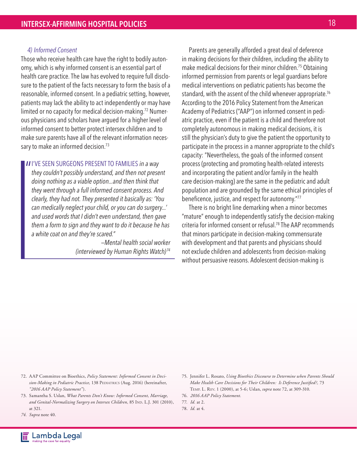#### *4) Informed Consent*

Those who receive health care have the right to bodily autonomy, which is why informed consent is an essential part of health care practice. The law has evolved to require full disclosure to the patient of the facts necessary to form the basis of a reasonable, informed consent. In a pediatric setting, however, patients may lack the ability to act independently or may have limited or no capacity for medical decision-making.<sup>72</sup> Numerous physicians and scholars have argued for a higher level of informed consent to better protect intersex children and to make sure parents have all of the relevant information necessary to make an informed decision.<sup>73</sup>

**II**I'VE SEEN SURGEONS PRESENT TO FAMILIES in a way they couldn't possibly understand, and then not prese *they couldn't possibly understand, and then not present doing nothing as a viable option...and then think that they went through a full informed consent process. And clearly, they had not. They presented it basically as: 'You can medically neglect your child, or you can do surgery...' and used words that I didn't even understand, then gave them a form to sign and they want to do it because he has a white coat on and they're scared."* 

> *—Mental health social worker (interviewed by Human Rights Watch) <sup>74</sup>*

Parents are generally afforded a great deal of deference in making decisions for their children, including the ability to make medical decisions for their minor children.75 Obtaining informed permission from parents or legal guardians before medical interventions on pediatric patients has become the standard, with the assent of the child whenever appropriate.<sup>76</sup> According to the 2016 Policy Statement from the American Academy of Pediatrics ("AAP") on informed consent in pediatric practice, even if the patient is a child and therefore not completely autonomous in making medical decisions, it is still the physician's duty to give the patient the opportunity to participate in the process in a manner appropriate to the child's capacity: "Nevertheless, the goals of the informed consent process (protecting and promoting health-related interests and incorporating the patient and/or family in the health care decision-making) are the same in the pediatric and adult population and are grounded by the same ethical principles of beneficence, justice, and respect for autonomy."77

There is no bright line demarking when a minor becomes "mature" enough to independently satisfy the decision-making criteria for informed consent or refusal.78 The AAP recommends that minors participate in decision-making commensurate with development and that parents and physicians should not exclude children and adolescents from decision-making without persuasive reasons. Adolescent decision-making is

- 72. AAP Committee on Bioethics, *Policy Statement: Informed Consent in Deci*sion-Making in Pediatric Practice, 138 PEDIATRICS (Aug. 2016) (hereinafter, *"2016 AAP Policy Statement"*).
- 73. Samantha S. Uslan, *What Parents Don't Know: Informed Consent, Marriage,*  and Genital-Normalizing Surgery on Intersex Children, 85 IND. L.J. 301 (2010), at 321.
- *74. Supra* note 40.
- 75. Jennifer L. Rosato, *Using Bioethics Discourse to Determine when Parents Should Make Health Care Decisions for Their Children: Is Deference Justified?,* 73 Temp. L. Rev. 1 (2000), at 5-6; Uslan, *supra* note 72, at 309-310.
- 76. *2016 AAP Policy Statement.*
- 77. *Id.* at 2.
- 78. *Id.* at 4.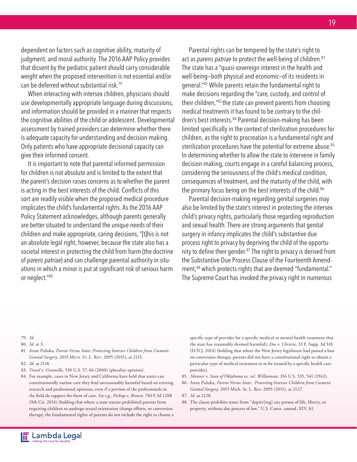dependent on factors such as cognitive ability, maturity of judgment, and moral authority. The 2016 AAP Policy provides that dissent by the pediatric patient should carry considerable weight when the proposed intervention is not essential and/or can be deferred without substantial risk.79

When interacting with intersex children, physicians should use developmentally appropriate language during discussions, and information should be provided in a manner that respects the cognitive abilities of the child or adolescent. Developmental assessment by trained providers can determine whether there is adequate capacity for understanding and decision-making. Only patients who have appropriate decisional capacity can give their informed consent.

It is important to note that parental informed permission for children is not absolute and is limited to the extent that the parent's decision raises concerns as to whether the parent is acting in the best interests of the child. Conflicts of this sort are readily visible when the proposed medical procedure implicates the child's fundamental rights. As the 2016 AAP Policy Statement acknowledges, although parents generally are better situated to understand the unique needs of their children and make appropriate, caring decisions, "[t]his is not an absolute legal right, however, because the state also has a societal interest in protecting the child from harm (the doctrine of *parens patriae*) and can challenge parental authority in situations in which a minor is put at significant risk of serious harm or neglect."80

Parental rights can be tempered by the state's right to act as *parens patriae* to protect the well-being of children.<sup>81</sup> The state has a "quasi-sovereign interest in the health and well-being—both physical and economic—of its residents in general."82 While parents retain the fundamental right to make decisions regarding the "care, custody, and control of their children,"83 the state can prevent parents from choosing medical treatments it has found to be contrary to the children's best interests.<sup>84</sup> Parental decision-making has been limited specifically in the context of sterilization procedures for children, as the right to procreation is a fundamental right and sterilization procedures have the potential for extreme abuse.<sup>85</sup> In determining whether to allow the state to intervene in family decision-making, courts engage in a careful balancing process, considering the seriousness of the child's medical condition, consequences of treatment, and the maturity of the child, with the primary focus being on the best interests of the child.<sup>86</sup>

Parental decision-making regarding genital surgeries may also be limited by the state's interest in protecting the intersex child's privacy rights, particularly those regarding reproduction and sexual health. There are strong arguments that genital surgery in infancy implicates the child's substantive due process right to privacy by depriving the child of the opportunity to define their gender.<sup>87</sup> The right to privacy is derived from the Substantive Due Process Clause of the Fourteenth Amendment,<sup>88</sup> which protects rights that are deemed "fundamental." The Supreme Court has invoked the privacy right in numerous

79. *Id.*

- 80. *Id.* at 3.
- 81. Anne Puluka, *Parent Versus State: Protecting Intersex Children from Cosmetic Genital Surgery,* 2015 Mich. St. L. Rev. 2095 (2015), at 2115. 82. *Id.* at 2118.
- 83. *Troxel v. Granville,* 530 U.S. 57, 66 (2000) (plurality opinion).
- 84. For example, cases in New Jersey and California have held that states can constitutionally outlaw care they find unreasonably harmful based on existing research and professional opinions, even if a portion of the professionals in the field do support the form of care. *See e.g., Pickup v. Brown,* 740 F.3d 1208 (9th Cir. 2014) (holding that where a state statute prohibited parents from requiring children to undergo sexual orientation change efforts, or conversion therapy, the fundamental rights of parents do not include the right to choose a

specific type of provider for a specific medical or mental health treatment that the state has reasonably deemed harmful); *Doe v. Christie,* 33 F. Supp. 3d 518 (D.N.J. 2014) (holding that where the New Jersey legislature had passed a ban on conversion therapy, parents did not have a constitutional right to obtain a particular type of medical treatment or to be treated by a specific health care provider).

- 85. *Skinner v. State of Oklahoma ex. rel. Williamson,* 316 U.S. 535, 541 (1942).
- 86. Anne Puluka, *Parent Versus State: Protecting Intersex Children from Cosmetic Genital Surgery,* 2015 Mich. St. L. Rev. 2095 (2015), at 2127.
- 87. *Id.* at 2128.
- 88. The clause prohibits states from "depriv[ing] any person of life, liberty, or property, without due process of law." U.S. Const. amend. XIV, §1.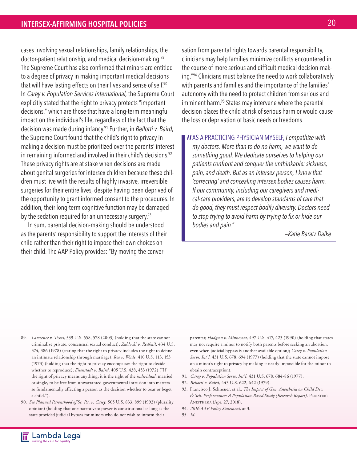cases involving sexual relationships, family relationships, the doctor-patient relationship, and medical decision-making.89 The Supreme Court has also confirmed that minors are entitled to a degree of privacy in making important medical decisions that will have lasting effects on their lives and sense of self.<sup>90</sup> In *Carey v. Population Services International,* the Supreme Court explicitly stated that the right to privacy protects "important decisions," which are those that have a long-term meaningful impact on the individual's life, regardless of the fact that the decision was made during infancy.91 Further, in *Bellotti v. Baird*, the Supreme Court found that the child's right to privacy in making a decision must be prioritized over the parents' interest in remaining informed and involved in their child's decisions.<sup>92</sup> These privacy rights are at stake when decisions are made about genital surgeries for intersex children because these children must live with the results of highly invasive, irreversible surgeries for their entire lives, despite having been deprived of the opportunity to grant informed consent to the procedures. In addition, their long-term cognitive function may be damaged by the sedation required for an unnecessary surgery.<sup>93</sup>

In sum, parental decision-making should be understood as the parents' responsibility to support the interests of their child rather than their right to impose their own choices on their child. The AAP Policy provides: "By moving the conversation from parental rights towards parental responsibility, clinicians may help families minimize conflicts encountered in the course of more serious and difficult medical decision-making."94 Clinicians must balance the need to work collaboratively with parents and families and the importance of the families' autonomy with the need to protect children from serious and imminent harm.<sup>95</sup> States may intervene where the parental decision places the child at risk of serious harm or would cause the loss or deprivation of basic needs or freedoms.

**II** AS A PRACTICING PHYSICIAN MYSELF, *I empathize with my doctors. More than to do no harm, we want to do my doctors. More than to do no harm, we want to do something good. We dedicate ourselves to helping our patients confront and conquer the unthinkable: sickness, pain, and death. But as an intersex person, I know that 'correcting' and concealing intersex bodies causes harm. If our community, including our caregivers and medical-care providers, are to develop standards of care that do good, they must respect bodily diversity. Doctors need to stop trying to avoid harm by trying to fix or hide our bodies and pain."*

*—Katie Baratz Dalke*

- 89. *Lawrence v. Texas,* 539 U.S. 558, 578 (2003) (holding that the state cannot criminalize private, consensual sexual conduct); *Zablocki v. Redhail,* 434 U.S. 374, 386 (1978) (stating that the right to privacy includes the right to define an intimate relationship through marriage); *Roe v. Wade,* 410 U.S. 113, 153 (1973) (holding that the right to privacy encompasses the right to decide whether to reproduce); *Eisenstadt v. Baird,* 405 U.S. 438, 453 (1972) ("If the right of privacy means anything, it is the right of the *individual*, married or single, to be free from unwarranted governmental intrusion into matters so fundamentally affecting a person as the decision whether to bear or beget a child.").
- 90. *See Planned Parenthood of Se. Pa. v. Casey,* 505 U.S. 833, 899 (1992) (plurality opinion) (holding that one parent veto power is constitutional as long as the state provided judicial bypass for minors who do not wish to inform their

parents); *Hodgson v. Minnesota,* 497 U.S. 417, 423 (1990) (holding that states may not require a minor to notify both parents before seeking an abortion, even when judicial bypass is another available option); *Carey v. Population Servs. Int'l,* 431 U.S. 678, 694 (1977) (holding that the state cannot impose on a minor's right to privacy by making it nearly impossible for the minor to obtain contraception).

- 91. *Carey v. Population Servs. Int'l,* 431 U.S. 678, 684-86 (1977).
- 92. *Bellotti v. Baird,* 443 U.S. 622, 642 (1979).
- 93. Francisco J. Schneuer, et al., *The Impact of Gen. Anesthesia on Child Dev.*   $\acute{\textit{\o}}$  *Sch. Performance: A Population-Based Study (Research Report)*, PEDIATRIC Anesthesia (Apr. 27, 2018).
- 94. *2016 AAP Policy Statement,* at 3.
- 95. *Id.*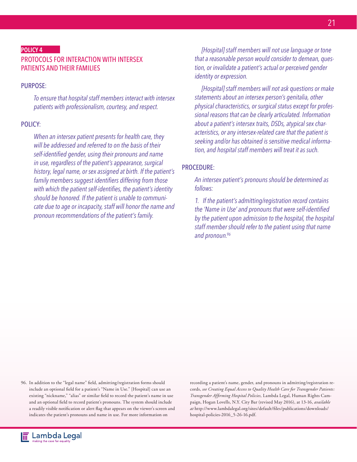#### POLICY 4

#### PROTOCOLS FOR INTERACTION WITH INTERSEX PATIENTS AND THEIR FAMILIES

#### PURPOSE:

*To ensure that hospital staff members interact with intersex patients with professionalism, courtesy, and respect.*

#### POLICY:

*When an intersex patient presents for health care, they will be addressed and referred to on the basis of their self-identified gender, using their pronouns and name in use, regardless of the patient's appearance, surgical history, legal name, or sex assigned at birth. If the patient's family members suggest identifiers differing from those with which the patient self-identifies, the patient's identity should be honored. If the patient is unable to communicate due to age or incapacity, staff will honor the name and pronoun recommendations of the patient's family.*

*[Hospital] staff members will not use language or tone that a reasonable person would consider to demean, question, or invalidate a patient's actual or perceived gender identity or expression.*

*[Hospital] staff members will not ask questions or make statements about an intersex person's genitalia, other physical characteristics, or surgical status except for professional reasons that can be clearly articulated. Information about a patient's intersex traits, DSDs, atypical sex characteristics, or any intersex-related care that the patient is seeking and/or has obtained is sensitive medical information, and hospital staff members will treat it as such.*

#### PROCEDURE:

*An intersex patient's pronouns should be determined as follows:*

*1. If the patient's admitting/registration record contains the 'Name in Use' and pronouns that were self-identified by the patient upon admission to the hospital, the hospital staff member should refer to the patient using that name and pronoun.96*

96. In addition to the "legal name" field, admitting/registration forms should include an optional field for a patient's "Name in Use." [Hospital] can use an existing "nickname," "alias" or similar field to record the patient's name in use and an optional field to record patient's pronouns. The system should include a readily visible notification or alert flag that appears on the viewer's screen and indicates the patient's pronouns and name in use. For more information on

recording a patient's name, gender, and pronouns in admitting/registration records, *see Creating Equal Access to Quality Health Care for Transgender Patients: Transgender Affirming Hospital Policies,* Lambda Legal, Human Rights Campaign, Hogan Lovells, N.Y. City Bar (revised May 2016), at 13-16, *available at* http://www.lambdalegal.org/sites/default/files/publications/downloads/ hospital-policies-2016\_5-26-16.pdf.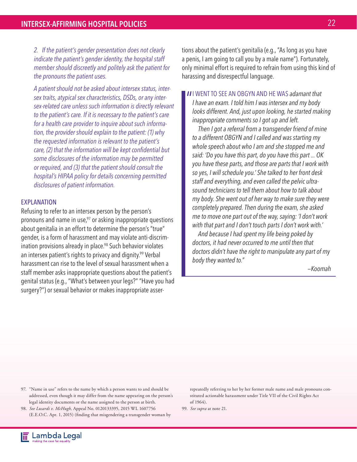*2. If the patient's gender presentation does not clearly indicate the patient's gender identity, the hospital staff member should discreetly and politely ask the patient for the pronouns the patient uses.*

*A patient should not be asked about intersex status, intersex traits, atypical sex characteristics, DSDs, or any intersex-related care unless such information is directly relevant to the patient's care. If it is necessary to the patient's care for a health care provider to inquire about such information, the provider should explain to the patient: (1) why the requested information is relevant to the patient's care, (2) that the information will be kept confidential but some disclosures of the information may be permitted or required, and (3) that the patient should consult the hospital's HIPAA policy for details concerning permitted disclosures of patient information.*

#### EXPLANATION

Refusing to refer to an intersex person by the person's pronouns and name in use, $97$  or asking inappropriate questions about genitalia in an effort to determine the person's "true" gender, is a form of harassment and may violate anti-discrimination provisions already in place.<sup>98</sup> Such behavior violates an intersex patient's rights to privacy and dignity.<sup>99</sup> Verbal harassment can rise to the level of sexual harassment when a staff member asks inappropriate questions about the patient's genital status (e.g., "What's between your legs?" "Have you had surgery?") or sexual behavior or makes inappropriate assertions about the patient's genitalia (e.g., "As long as you have a penis, I am going to call you by a male name"). Fortunately, only minimal effort is required to refrain from using this kind of harassing and disrespectful language.

**II** WENT TO SEE AN OBGYN AND HE WAS adamant that I have an exam. I told him I was intersex and my body *I have an exam. I told him I was intersex and my body looks different. And, just upon looking, he started making inappropriate comments so I got up and left.* 

*Then I got a referral from a transgender friend of mine to a different OBGYN and I called and was starting my whole speech about who I am and she stopped me and said: 'Do you have this part, do you have this part ... OK you have these parts, and those are parts that I work with so yes, I will schedule you.' She talked to her front desk staff and everything, and even called the pelvic ultrasound technicians to tell them about how to talk about my body. She went out of her way to make sure they were completely prepared. Then during the exam, she asked me to move one part out of the way, saying: 'I don't work with that part and I don't touch parts I don't work with.'* 

*And because I had spent my life being poked by doctors, it had never occurred to me until then that doctors didn't have the right to manipulate any part of my body they wanted to."*

*—Koomah*

- 97. "Name in use" refers to the name by which a person wants to and should be addressed, even though it may differ from the name appearing on the person's legal identity documents or the name assigned to the person at birth.
- 98. *See Lusardi v. McHugh,* Appeal No. 0120133395, 2015 WL 1607756 (E.E.O.C. Apr. 1, 2015) (finding that misgendering a transgender woman by

repeatedly referring to her by her former male name and male pronouns constituted actionable harassment under Title VII of the Civil Rights Act of 1964).

99. *See supra* at note 21.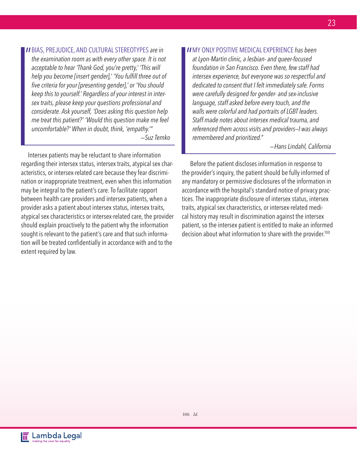**II** BIAS, PREJUDICE, AND CULTURAL STEREOTYPES are in the examination room as with every other space. It is not *the examination room as with every other space. It is not acceptable to hear 'Thank God, you're pretty,' 'This will help you become [insert gender],' 'You fulfill three out of five criteria for your [presenting gender],' or 'You should keep this to yourself.' Regardless of your interest in intersex traits, please keep your questions professional and considerate. Ask yourself, 'Does asking this question help me treat this patient?' 'Would this question make me feel uncomfortable?' When in doubt, think, 'empathy.'" —Suz Temko* 

Intersex patients may be reluctant to share information regarding their intersex status, intersex traits, atypical sex characteristics, or intersex-related care because they fear discrimination or inappropriate treatment, even when this information may be integral to the patient's care. To facilitate rapport between health care providers and intersex patients, when a provider asks a patient about intersex status, intersex traits, atypical sex characteristics or intersex-related care, the provider should explain proactively to the patient why the information sought is relevant to the patient's care and that such information will be treated confidentially in accordance with and to the extent required by law.

**II** MY ONLY POSITIVE MEDICAL EXPERIENCE has been at Lyon-Martin clinic, a lesbian- and queer-focused *at Lyon-Martin clinic, a lesbian- and queer-focused foundation in San Francisco. Even there, few staff had intersex experience, but everyone was so respectful and dedicated to consent that I felt immediately safe. Forms were carefully designed for gender- and sex-inclusive language, staff asked before every touch, and the walls were colorful and had portraits of LGBT leaders. Staff made notes about intersex medical trauma, and referenced them across visits and providers—I was always remembered and prioritized."*

*—Hans Lindahl, California*

 Before the patient discloses information in response to the provider's inquiry, the patient should be fully informed of any mandatory or permissive disclosures of the information in accordance with the hospital's standard notice of privacy practices. The inappropriate disclosure of intersex status, intersex traits, atypical sex characteristics, or intersex-related medical history may result in discrimination against the intersex patient, so the intersex patient is entitled to make an informed decision about what information to share with the provider.<sup>100</sup>

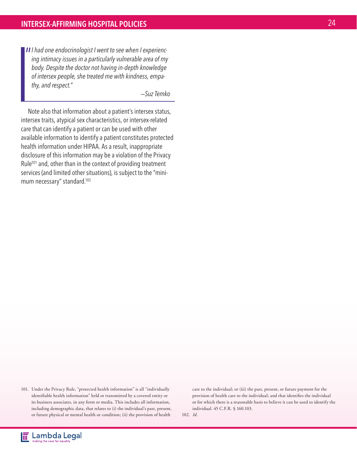**II** *I* had one endocrinologist *I* went to see when *I* experiencing intimacy issues in a particularly vulnerable area of my *ing intimacy issues in a particularly vulnerable area of my body. Despite the doctor not having in-depth knowledge of intersex people, she treated me with kindness, empathy, and respect."* 

*—Suz Temko* 

Note also that information about a patient's intersex status, intersex traits, atypical sex characteristics, or intersex-related care that can identify a patient or can be used with other available information to identify a patient constitutes protected health information under HIPAA. As a result, inappropriate disclosure of this information may be a violation of the Privacy Rule<sup>101</sup> and, other than in the context of providing treatment services (and limited other situations), is subject to the "minimum necessary" standard.<sup>102</sup>

101. Under the Privacy Rule, "protected health information" is all "individually identifiable health information" held or transmitted by a covered entity or its business associates, in any form or media. This includes all information, including demographic data, that relates to (i) the individual's past, present, or future physical or mental health or condition; (ii) the provision of health

care to the individual; or (iii) the past, present, or future payment for the provision of health care to the individual; and that identifies the individual or for which there is a reasonable basis to believe it can be used to identify the individual. 45 C.F.R. § 160.103.

102. *Id.*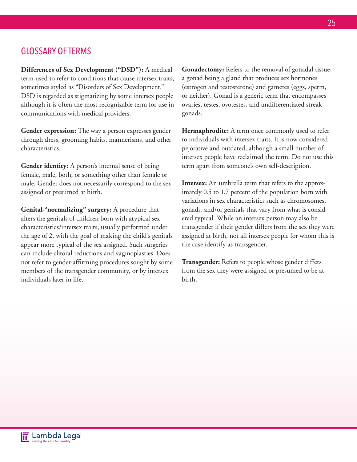## GLOSSARY OF TERMS

**Differences of Sex Development ("DSD"):** A medical term used to refer to conditions that cause intersex traits, sometimes styled as "Disorders of Sex Development." DSD is regarded as stigmatizing by some intersex people although it is often the most recognizable term for use in communications with medical providers.

**Gender expression:** The way a person expresses gender through dress, grooming habits, mannerisms, and other characteristics.

**Gender identity:** A person's internal sense of being female, male, both, or something other than female or male. Gender does not necessarily correspond to the sex assigned or presumed at birth.

**Genital-"normalizing" surgery:** A procedure that alters the genitals of children born with atypical sex characteristics/intersex traits, usually performed under the age of 2, with the goal of making the child's genitals appear more typical of the sex assigned. Such surgeries can include clitoral reductions and vaginoplasties. Does not refer to gender-affirming procedures sought by some members of the transgender community, or by intersex individuals later in life.

**Gonadectomy:** Refers to the removal of gonadal tissue, a gonad being a gland that produces sex hormones (estrogen and testosterone) and gametes (eggs, sperm, or neither). Gonad is a generic term that encompasses ovaries, testes, ovotestes, and undifferentiated streak gonads.

**Hermaphrodite:** A term once commonly used to refer to individuals with intersex traits. It is now considered pejorative and outdated, although a small number of intersex people have reclaimed the term. Do not use this term apart from someone's own self-description.

**Intersex:** An umbrella term that refers to the approximately 0.5 to 1.7 percent of the population born with variations in sex characteristics such as chromosomes, gonads, and/or genitals that vary from what is considered typical. While an intersex person may also be transgender if their gender differs from the sex they were assigned at birth, not all intersex people for whom this is the case identify as transgender.

**Transgender:** Refers to people whose gender differs from the sex they were assigned or presumed to be at birth.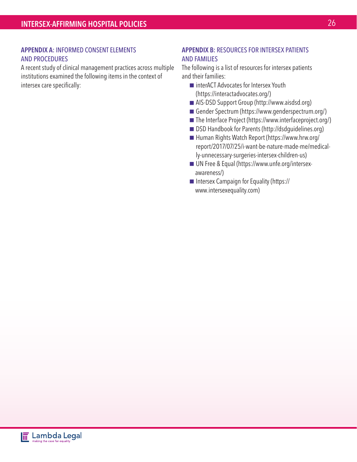#### APPENDIX A: INFORMED CONSENT ELEMENTS AND PROCEDURES

A recent study of clinical management practices across multiple institutions examined the following items in the context of intersex care specifically:

#### APPENDIX B: RESOURCES FOR INTERSEX PATIENTS AND FAMILIES

The following is a list of resources for intersex patients and their families:

- interACT Advocates for Intersex Youth (https://interactadvocates.org/)
- AIS-DSD Support Group (http://www.aisdsd.org)
- Gender Spectrum (https://www.genderspectrum.org/)
- The Interface Project (https://www.interfaceproject.org/)
- DSD Handbook for Parents (http://dsdguidelines.org)
- Human Rights Watch Report (https://www.hrw.org/ report/2017/07/25/i-want-be-nature-made-me/medically-unnecessary-surgeries-intersex-children-us)
- UN Free & Equal (https://www.unfe.org/intersexawareness/)
- Intersex Campaign for Equality (https:// www.intersexequality.com)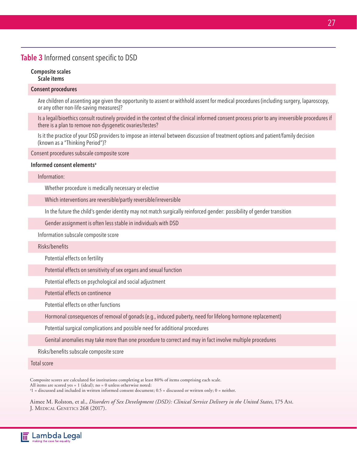## Table 3 Informed consent specific to DSD

#### Composite scales Scale items

#### Consent procedures

Are children of assenting age given the opportunity to assent or withhold assent for medical procedures (including surgery, laparoscopy, or any other non-life-saving measures)?

Is a legal/bioethics consult routinely provided in the context of the clinical informed consent process prior to any irreversible procedures if there is a plan to remove non-dysgenetic ovaries/testes?

Is it the practice of your DSD providers to impose an interval between discussion of treatment options and patient/family decision (known as a "Thinking Period")?

Consent procedures subscale composite score

#### Informed consent elements<sup>a</sup>

Information:

Whether procedure is medically necessary or elective

Which interventions are reversible/partly reversible/irreversible

In the future the child's gender identity may not match surgically reinforced gender: possibility of gender transition

Gender assignment is often less stable in individuals with DSD

Information subscale composite score

Risks/benefits

Potential effects on fertility

Potential effects on sensitivity of sex organs and sexual function

Potential effects on psychological and social adjustment

Potential effects on continence

Potential effects on other functions

Hormonal consequences of removal of gonads (e.g., induced puberty, need for lifelong hormone replacement)

Potential surgical complications and possible need for additional procedures

Genital anomalies may take more than one procedure to correct and may in fact involve multiple procedures

Risks/benefits subscale composite score

Total score

Composite scores are calculated for institutions completing at least 80% of items comprising each scale.

All items are scored yes = 1 (ideal); no = 0 unless otherwise noted:

a 1 = discussed and included in written informed consent document; 0.5 = discussed or written only; 0 = neither.

Aimee M. Rolston, et al., *Disorders of Sex Development (DSD): Clinical Service Delivery in the United States*, 175 Am. J. Medical Genetics 268 (2017).